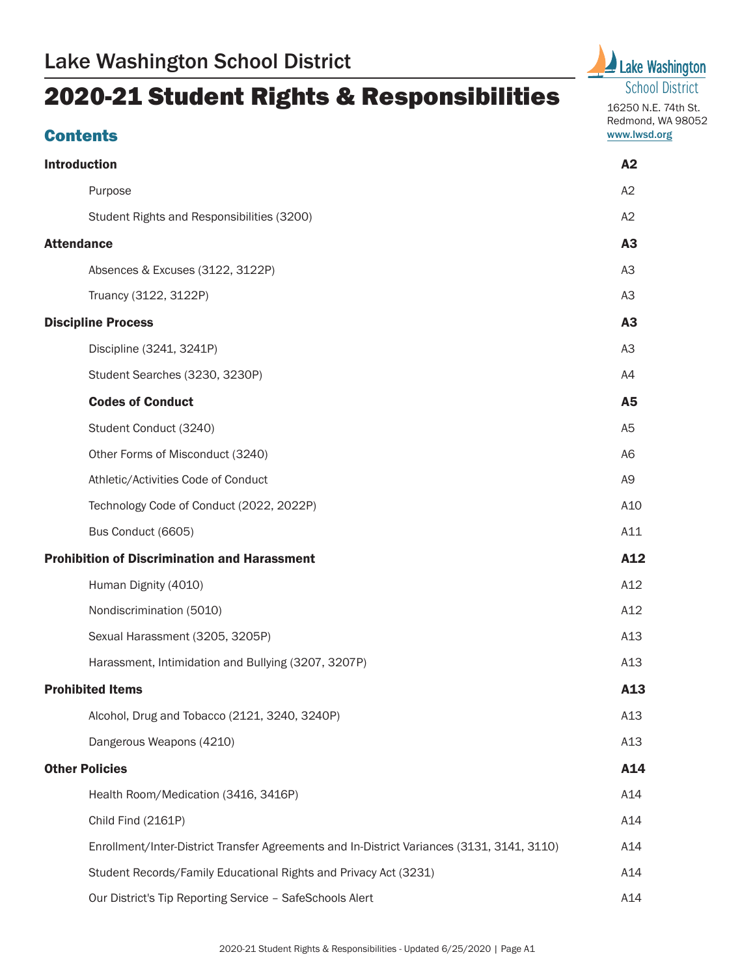# 2020-21 Student Rights & Responsibilities

# **Contents**





16250 N.E. 74th St. Redmond, WA 98052 [www.lwsd.org](http://www.lwsd.org/)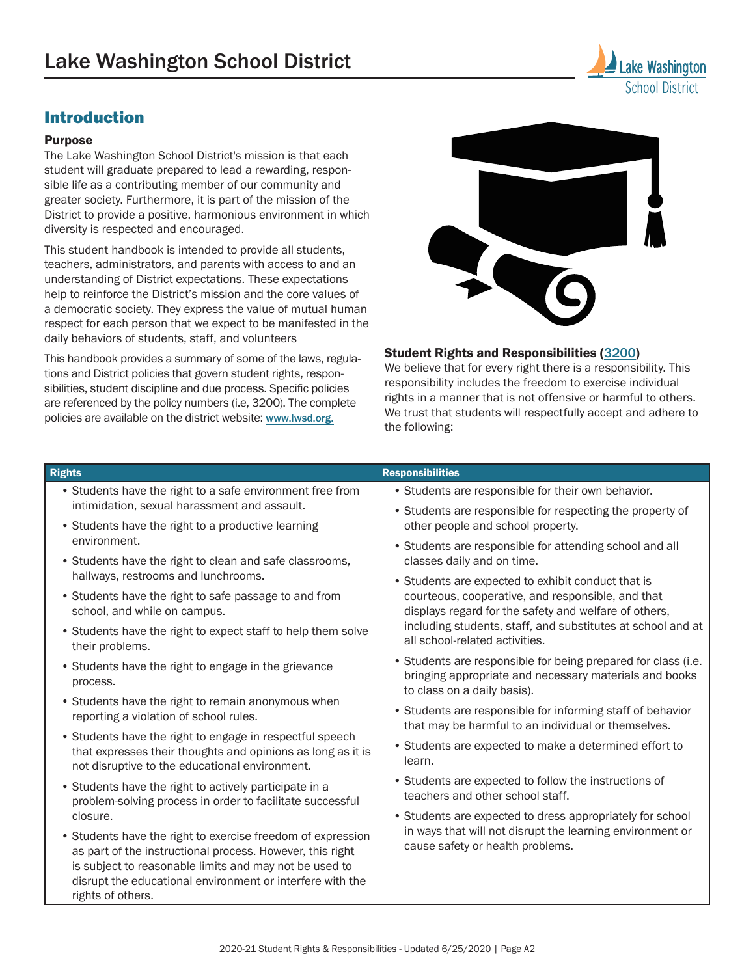# Introduction

#### Purpose

The Lake Washington School District's mission is that each student will graduate prepared to lead a rewarding, responsible life as a contributing member of our community and greater society. Furthermore, it is part of the mission of the District to provide a positive, harmonious environment in which diversity is respected and encouraged.

This student handbook is intended to provide all students, teachers, administrators, and parents with access to and an understanding of District expectations. These expectations help to reinforce the District's mission and the core values of a democratic society. They express the value of mutual human respect for each person that we expect to be manifested in the daily behaviors of students, staff, and volunteers

This handbook provides a summary of some of the laws, regulations and District policies that govern student rights, responsibilities, student discipline and due process. Specific policies are referenced by the policy numbers (i.e, 3200). The complete policies are available on the district website: [www.lwsd.org](http://www.lwsd.org/).



School District

#### Student Rights and Responsibilities ([3200](https://www.lwsd.org/about-us/policy-and-regulations/students-3000/rights-and-responsibilities-3200))

We believe that for every right there is a responsibility. This responsibility includes the freedom to exercise individual rights in a manner that is not offensive or harmful to others. We trust that students will respectfully accept and adhere to the following:

| <b>Rights</b>                                                                                                                                                                                                                                                        | <b>Responsibilities</b>                                                                                                                                |  |  |
|----------------------------------------------------------------------------------------------------------------------------------------------------------------------------------------------------------------------------------------------------------------------|--------------------------------------------------------------------------------------------------------------------------------------------------------|--|--|
| • Students have the right to a safe environment free from                                                                                                                                                                                                            | • Students are responsible for their own behavior.                                                                                                     |  |  |
| intimidation, sexual harassment and assault.<br>• Students have the right to a productive learning                                                                                                                                                                   | • Students are responsible for respecting the property of<br>other people and school property.                                                         |  |  |
| environment.<br>• Students have the right to clean and safe classrooms,                                                                                                                                                                                              | • Students are responsible for attending school and all<br>classes daily and on time.                                                                  |  |  |
| hallways, restrooms and lunchrooms.                                                                                                                                                                                                                                  | • Students are expected to exhibit conduct that is                                                                                                     |  |  |
| • Students have the right to safe passage to and from<br>school, and while on campus.                                                                                                                                                                                | courteous, cooperative, and responsible, and that<br>displays regard for the safety and welfare of others,                                             |  |  |
| • Students have the right to expect staff to help them solve<br>their problems.                                                                                                                                                                                      | including students, staff, and substitutes at school and at<br>all school-related activities.                                                          |  |  |
| • Students have the right to engage in the grievance<br>process.                                                                                                                                                                                                     | • Students are responsible for being prepared for class (i.e.<br>bringing appropriate and necessary materials and books<br>to class on a daily basis). |  |  |
| • Students have the right to remain anonymous when<br>reporting a violation of school rules.                                                                                                                                                                         | • Students are responsible for informing staff of behavior<br>that may be harmful to an individual or themselves.                                      |  |  |
| • Students have the right to engage in respectful speech<br>that expresses their thoughts and opinions as long as it is<br>not disruptive to the educational environment.                                                                                            | • Students are expected to make a determined effort to<br>learn.                                                                                       |  |  |
| • Students have the right to actively participate in a<br>problem-solving process in order to facilitate successful                                                                                                                                                  | • Students are expected to follow the instructions of<br>teachers and other school staff.                                                              |  |  |
| closure.                                                                                                                                                                                                                                                             | • Students are expected to dress appropriately for school                                                                                              |  |  |
| • Students have the right to exercise freedom of expression<br>as part of the instructional process. However, this right<br>is subject to reasonable limits and may not be used to<br>disrupt the educational environment or interfere with the<br>rights of others. | in ways that will not disrupt the learning environment or<br>cause safety or health problems.                                                          |  |  |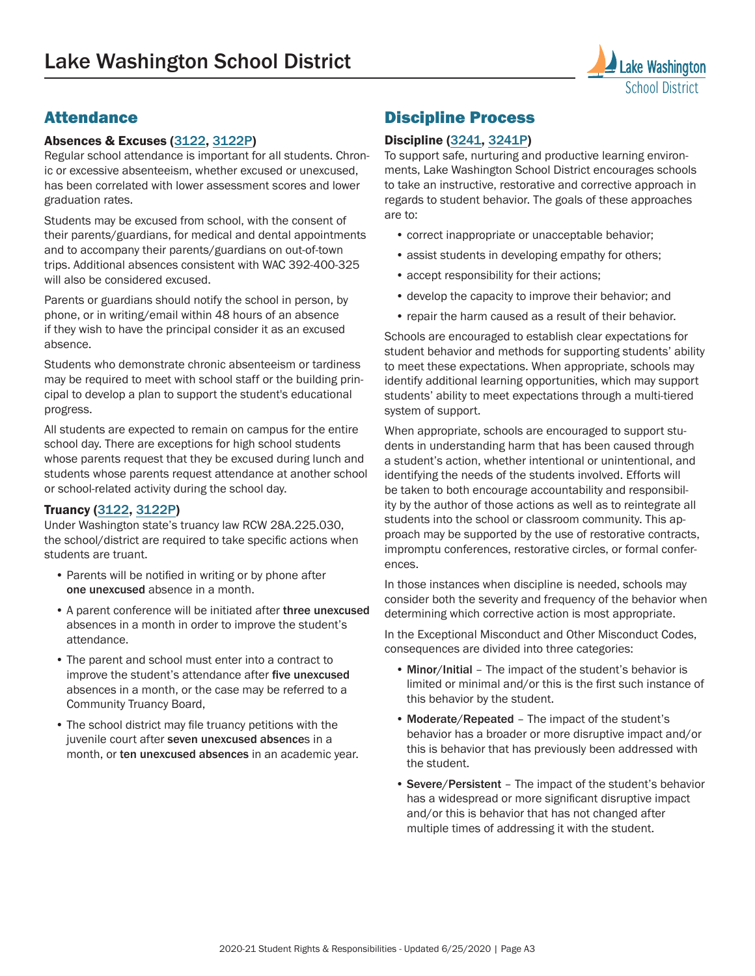

# **Attendance**

#### Absences & Excuses ([3122](https://www.lwsd.org/about-us/policy-and-regulations/students-3000/excused-and-unexcused-absences-3122), [3122P](https://www.lwsd.org/about-us/policy-and-regulations/students-3000/procedure-student-absences-and-excuses-3122p))

Regular school attendance is important for all students. Chronic or excessive absenteeism, whether excused or unexcused, has been correlated with lower assessment scores and lower graduation rates.

Students may be excused from school, with the consent of their parents/guardians, for medical and dental appointments and to accompany their parents/guardians on out-of-town trips. Additional absences consistent with WAC 392-400-325 will also be considered excused.

Parents or guardians should notify the school in person, by phone, or in writing/email within 48 hours of an absence if they wish to have the principal consider it as an excused absence.

Students who demonstrate chronic absenteeism or tardiness may be required to meet with school staff or the building principal to develop a plan to support the student's educational progress.

All students are expected to remain on campus for the entire school day. There are exceptions for high school students whose parents request that they be excused during lunch and students whose parents request attendance at another school or school-related activity during the school day.

#### Truancy ([3122](https://www.lwsd.org/about-us/policy-and-regulations/students-3000/excused-and-unexcused-absences-3122), [3122P](https://www.lwsd.org/about-us/policy-and-regulations/students-3000/procedure-student-absences-and-excuses-3122p))

Under Washington state's truancy law RCW 28A.225.030, the school/district are required to take specific actions when students are truant.

- Parents will be notified in writing or by phone after one unexcused absence in a month.
- A parent conference will be initiated after three unexcused absences in a month in order to improve the student's attendance.
- The parent and school must enter into a contract to improve the student's attendance after five unexcused absences in a month, or the case may be referred to a Community Truancy Board,
- The school district may file truancy petitions with the juvenile court after seven unexcused absences in a month, or ten unexcused absences in an academic year.

## Discipline Process

#### Discipline ([3241](https://www.lwsd.org/about-us/policy-and-regulations/students-3000/student-discipline-3241), [3241P](https://www.lwsd.org/about-us/policy-and-regulations/students-3000/procedure-student-discipline-3241p))

To support safe, nurturing and productive learning environments, Lake Washington School District encourages schools to take an instructive, restorative and corrective approach in regards to student behavior. The goals of these approaches are to:

- correct inappropriate or unacceptable behavior;
- assist students in developing empathy for others;
- accept responsibility for their actions;
- develop the capacity to improve their behavior; and
- repair the harm caused as a result of their behavior.

Schools are encouraged to establish clear expectations for student behavior and methods for supporting students' ability to meet these expectations. When appropriate, schools may identify additional learning opportunities, which may support students' ability to meet expectations through a multi-tiered system of support.

When appropriate, schools are encouraged to support students in understanding harm that has been caused through a student's action, whether intentional or unintentional, and identifying the needs of the students involved. Efforts will be taken to both encourage accountability and responsibility by the author of those actions as well as to reintegrate all students into the school or classroom community. This approach may be supported by the use of restorative contracts, impromptu conferences, restorative circles, or formal conferences.

In those instances when discipline is needed, schools may consider both the severity and frequency of the behavior when determining which corrective action is most appropriate.

In the Exceptional Misconduct and Other Misconduct Codes, consequences are divided into three categories:

- Minor/Initial The impact of the student's behavior is limited or minimal and/or this is the first such instance of this behavior by the student.
- Moderate/Repeated The impact of the student's behavior has a broader or more disruptive impact and/or this is behavior that has previously been addressed with the student.
- Severe/Persistent The impact of the student's behavior has a widespread or more significant disruptive impact and/or this is behavior that has not changed after multiple times of addressing it with the student.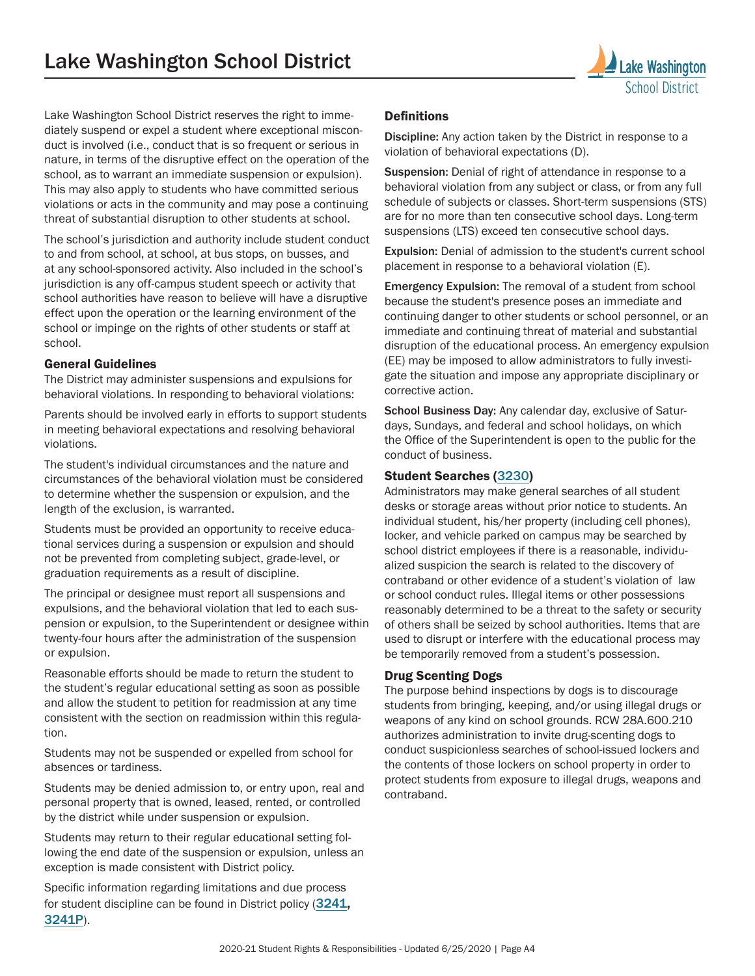

Lake Washington School District reserves the right to immediately suspend or expel a student where exceptional misconduct is involved (i.e., conduct that is so frequent or serious in nature, in terms of the disruptive effect on the operation of the school, as to warrant an immediate suspension or expulsion). This may also apply to students who have committed serious violations or acts in the community and may pose a continuing threat of substantial disruption to other students at school.

The school's jurisdiction and authority include student conduct to and from school, at school, at bus stops, on busses, and at any school-sponsored activity. Also included in the school's jurisdiction is any off-campus student speech or activity that school authorities have reason to believe will have a disruptive effect upon the operation or the learning environment of the school or impinge on the rights of other students or staff at school.

#### General Guidelines

The District may administer suspensions and expulsions for behavioral violations. In responding to behavioral violations:

Parents should be involved early in efforts to support students in meeting behavioral expectations and resolving behavioral violations.

The student's individual circumstances and the nature and circumstances of the behavioral violation must be considered to determine whether the suspension or expulsion, and the length of the exclusion, is warranted.

Students must be provided an opportunity to receive educational services during a suspension or expulsion and should not be prevented from completing subject, grade-level, or graduation requirements as a result of discipline.

The principal or designee must report all suspensions and expulsions, and the behavioral violation that led to each suspension or expulsion, to the Superintendent or designee within twenty-four hours after the administration of the suspension or expulsion.

Reasonable efforts should be made to return the student to the student's regular educational setting as soon as possible and allow the student to petition for readmission at any time consistent with the section on readmission within this regulation.

Students may not be suspended or expelled from school for absences or tardiness.

Students may be denied admission to, or entry upon, real and personal property that is owned, leased, rented, or controlled by the district while under suspension or expulsion.

Students may return to their regular educational setting following the end date of the suspension or expulsion, unless an exception is made consistent with District policy.

Specific information regarding limitations and due process for student discipline can be found in District policy ([3241](https://www.lwsd.org/about-us/policy-and-regulations/students-3000/student-discipline-3241), [3241P](https://www.lwsd.org/about-us/policy-and-regulations/students-3000/procedure-student-discipline-3241p)).

#### Definitions

Discipline: Any action taken by the District in response to a violation of behavioral expectations (D).

Suspension: Denial of right of attendance in response to a behavioral violation from any subject or class, or from any full schedule of subjects or classes. Short-term suspensions (STS) are for no more than ten consecutive school days. Long-term suspensions (LTS) exceed ten consecutive school days.

Expulsion: Denial of admission to the student's current school placement in response to a behavioral violation (E).

Emergency Expulsion: The removal of a student from school because the student's presence poses an immediate and continuing danger to other students or school personnel, or an immediate and continuing threat of material and substantial disruption of the educational process. An emergency expulsion (EE) may be imposed to allow administrators to fully investigate the situation and impose any appropriate disciplinary or corrective action.

School Business Day: Any calendar day, exclusive of Saturdays, Sundays, and federal and school holidays, on which the Office of the Superintendent is open to the public for the conduct of business.

#### Student Searches ([3230](https://www.lwsd.org/about-us/policy-and-regulations/students-3000/student-privacy-searches-3230))

Administrators may make general searches of all student desks or storage areas without prior notice to students. An individual student, his/her property (including cell phones), locker, and vehicle parked on campus may be searched by school district employees if there is a reasonable, individualized suspicion the search is related to the discovery of contraband or other evidence of a student's violation of law or school conduct rules. Illegal items or other possessions reasonably determined to be a threat to the safety or security of others shall be seized by school authorities. Items that are used to disrupt or interfere with the educational process may be temporarily removed from a student's possession.

#### Drug Scenting Dogs

The purpose behind inspections by dogs is to discourage students from bringing, keeping, and/or using illegal drugs or weapons of any kind on school grounds. RCW 28A.600.210 authorizes administration to invite drug-scenting dogs to conduct suspicionless searches of school-issued lockers and the contents of those lockers on school property in order to protect students from exposure to illegal drugs, weapons and contraband.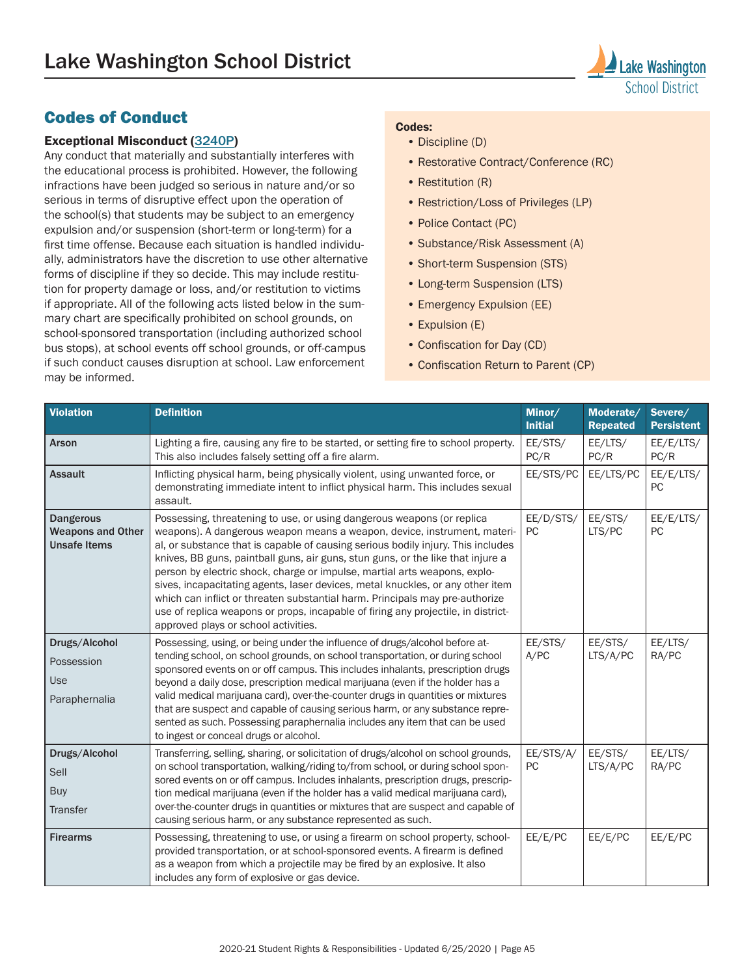

## Codes of Conduct

#### Exceptional Misconduct ([3240P](https://www.lwsd.org/about-us/policy-and-regulations/students-3000/procedure-student-conduct-expectations-and-reasonable-sanctions-3240p))

Any conduct that materially and substantially interferes with the educational process is prohibited. However, the following infractions have been judged so serious in nature and/or so serious in terms of disruptive effect upon the operation of the school(s) that students may be subject to an emergency expulsion and/or suspension (short-term or long-term) for a first time offense. Because each situation is handled individually, administrators have the discretion to use other alternative forms of discipline if they so decide. This may include restitution for property damage or loss, and/or restitution to victims if appropriate. All of the following acts listed below in the summary chart are specifically prohibited on school grounds, on school-sponsored transportation (including authorized school bus stops), at school events off school grounds, or off-campus if such conduct causes disruption at school. Law enforcement may be informed.

#### Codes:

- Discipline (D)
- Restorative Contract/Conference (RC)
- Restitution (R)
- Restriction/Loss of Privileges (LP)
- Police Contact (PC)
- Substance/Risk Assessment (A)
- Short-term Suspension (STS)
- Long-term Suspension (LTS)
- Emergency Expulsion (EE)
- Expulsion (E)
- Confiscation for Day (CD)
- Confiscation Return to Parent (CP)

| <b>Violation</b>                                                    | <b>Definition</b>                                                                                                                                                                                                                                                                                                                                                                                                                                                                                                                                                                                                                                                                                     | Minor/<br><b>Initial</b> | Moderate/<br><b>Repeated</b> | Severe/<br><b>Persistent</b> |
|---------------------------------------------------------------------|-------------------------------------------------------------------------------------------------------------------------------------------------------------------------------------------------------------------------------------------------------------------------------------------------------------------------------------------------------------------------------------------------------------------------------------------------------------------------------------------------------------------------------------------------------------------------------------------------------------------------------------------------------------------------------------------------------|--------------------------|------------------------------|------------------------------|
| Arson                                                               | Lighting a fire, causing any fire to be started, or setting fire to school property.<br>This also includes falsely setting off a fire alarm.                                                                                                                                                                                                                                                                                                                                                                                                                                                                                                                                                          | EE/STS/<br>PC/R          | EE/LTS/<br>PC/R              | EE/E/LTS/<br>PC/R            |
| <b>Assault</b>                                                      | Inflicting physical harm, being physically violent, using unwanted force, or<br>demonstrating immediate intent to inflict physical harm. This includes sexual<br>assault.                                                                                                                                                                                                                                                                                                                                                                                                                                                                                                                             | EE/STS/PC                | EE/LTS/PC                    | EE/E/LTS/<br><b>PC</b>       |
| <b>Dangerous</b><br><b>Weapons and Other</b><br><b>Unsafe Items</b> | Possessing, threatening to use, or using dangerous weapons (or replica<br>weapons). A dangerous weapon means a weapon, device, instrument, materi-<br>al, or substance that is capable of causing serious bodily injury. This includes<br>knives, BB guns, paintball guns, air guns, stun guns, or the like that injure a<br>person by electric shock, charge or impulse, martial arts weapons, explo-<br>sives, incapacitating agents, laser devices, metal knuckles, or any other item<br>which can inflict or threaten substantial harm. Principals may pre-authorize<br>use of replica weapons or props, incapable of firing any projectile, in district-<br>approved plays or school activities. | EE/D/STS/<br><b>PC</b>   | EE/STS/<br>LTS/PC            | EE/E/LTS/<br>PC              |
| Drugs/Alcohol<br>Possession<br><b>Use</b><br>Paraphernalia          | Possessing, using, or being under the influence of drugs/alcohol before at-<br>tending school, on school grounds, on school transportation, or during school<br>sponsored events on or off campus. This includes inhalants, prescription drugs<br>beyond a daily dose, prescription medical marijuana (even if the holder has a<br>valid medical marijuana card), over-the-counter drugs in quantities or mixtures<br>that are suspect and capable of causing serious harm, or any substance repre-<br>sented as such. Possessing paraphernalia includes any item that can be used<br>to ingest or conceal drugs or alcohol.                                                                          | EE/STS/<br>A/PC          | EE/STS/<br>LTS/A/PC          | EE/LTS/<br>RA/PC             |
| Drugs/Alcohol<br>Sell<br><b>Buy</b><br>Transfer                     | Transferring, selling, sharing, or solicitation of drugs/alcohol on school grounds,<br>on school transportation, walking/riding to/from school, or during school spon-<br>sored events on or off campus. Includes inhalants, prescription drugs, prescrip-<br>tion medical marijuana (even if the holder has a valid medical marijuana card),<br>over-the-counter drugs in quantities or mixtures that are suspect and capable of<br>causing serious harm, or any substance represented as such.                                                                                                                                                                                                      | EE/STS/A/<br><b>PC</b>   | EE/STS/<br>LTS/A/PC          | EE/LTS/<br>RA/PC             |
| <b>Firearms</b>                                                     | Possessing, threatening to use, or using a firearm on school property, school-<br>provided transportation, or at school-sponsored events. A firearm is defined<br>as a weapon from which a projectile may be fired by an explosive. It also<br>includes any form of explosive or gas device.                                                                                                                                                                                                                                                                                                                                                                                                          | EE/E/PC                  | EE/E/PC                      | EE/E/PC                      |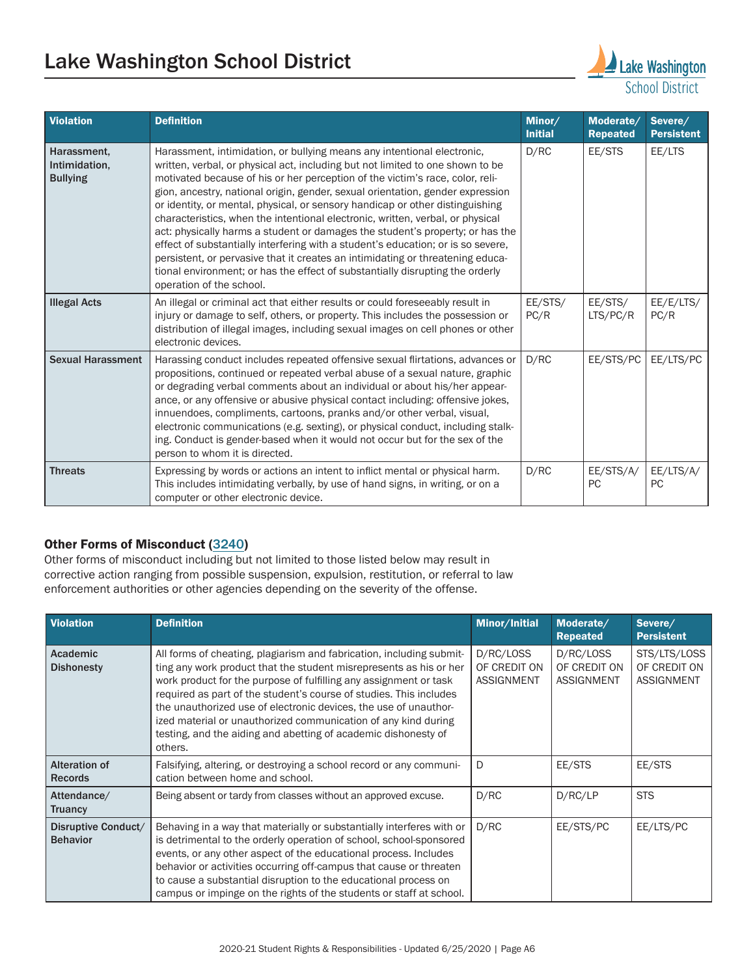# Lake Washington School District **Lake Washington**



| <b>Violation</b>                                | <b>Definition</b>                                                                                                                                                                                                                                                                                                                                                                                                                                                                                                                                                                                                                                                                                                                                                                                                                                                   | Minor/<br><b>Initial</b> | Moderate/<br><b>Repeated</b> | Severe/<br><b>Persistent</b> |
|-------------------------------------------------|---------------------------------------------------------------------------------------------------------------------------------------------------------------------------------------------------------------------------------------------------------------------------------------------------------------------------------------------------------------------------------------------------------------------------------------------------------------------------------------------------------------------------------------------------------------------------------------------------------------------------------------------------------------------------------------------------------------------------------------------------------------------------------------------------------------------------------------------------------------------|--------------------------|------------------------------|------------------------------|
| Harassment,<br>Intimidation,<br><b>Bullying</b> | Harassment, intimidation, or bullying means any intentional electronic,<br>written, verbal, or physical act, including but not limited to one shown to be<br>motivated because of his or her perception of the victim's race, color, reli-<br>gion, ancestry, national origin, gender, sexual orientation, gender expression<br>or identity, or mental, physical, or sensory handicap or other distinguishing<br>characteristics, when the intentional electronic, written, verbal, or physical<br>act: physically harms a student or damages the student's property; or has the<br>effect of substantially interfering with a student's education; or is so severe,<br>persistent, or pervasive that it creates an intimidating or threatening educa-<br>tional environment; or has the effect of substantially disrupting the orderly<br>operation of the school. | D/RC                     | EE/STS                       | EE/LTS                       |
| <b>Illegal Acts</b>                             | An illegal or criminal act that either results or could foreseeably result in<br>injury or damage to self, others, or property. This includes the possession or<br>distribution of illegal images, including sexual images on cell phones or other<br>electronic devices.                                                                                                                                                                                                                                                                                                                                                                                                                                                                                                                                                                                           | EE/STS/<br>PC/R          | EE/STS/<br>LTS/PC/R          | EE/E/LTS/<br>PC/R            |
| <b>Sexual Harassment</b>                        | Harassing conduct includes repeated offensive sexual flirtations, advances or<br>propositions, continued or repeated verbal abuse of a sexual nature, graphic<br>or degrading verbal comments about an individual or about his/her appear-<br>ance, or any offensive or abusive physical contact including: offensive jokes,<br>innuendoes, compliments, cartoons, pranks and/or other verbal, visual,<br>electronic communications (e.g. sexting), or physical conduct, including stalk-<br>ing. Conduct is gender-based when it would not occur but for the sex of the<br>person to whom it is directed.                                                                                                                                                                                                                                                          | D/RC                     | EE/STS/PC                    | EE/LTS/PC                    |
| <b>Threats</b>                                  | Expressing by words or actions an intent to inflict mental or physical harm.<br>This includes intimidating verbally, by use of hand signs, in writing, or on a<br>computer or other electronic device.                                                                                                                                                                                                                                                                                                                                                                                                                                                                                                                                                                                                                                                              | D/RC                     | EE/STS/A/<br><b>PC</b>       | EE/LTS/A/<br><b>PC</b>       |

#### Other Forms of Misconduct ([3240](https://www.lwsd.org/about-us/policy-and-regulations/students-3000/student-conduct-expectations-and-reasonable-sanctions-3240))

Other forms of misconduct including but not limited to those listed below may result in corrective action ranging from possible suspension, expulsion, restitution, or referral to law enforcement authorities or other agencies depending on the severity of the offense.

| <b>Violation</b>                       | <b>Definition</b>                                                                                                                                                                                                                                                                                                                                                                                                                                                                                        | Minor/Initial                                  | Moderate/<br><b>Repeated</b>                   | Severe/<br><b>Persistent</b>                      |
|----------------------------------------|----------------------------------------------------------------------------------------------------------------------------------------------------------------------------------------------------------------------------------------------------------------------------------------------------------------------------------------------------------------------------------------------------------------------------------------------------------------------------------------------------------|------------------------------------------------|------------------------------------------------|---------------------------------------------------|
| Academic<br><b>Dishonesty</b>          | All forms of cheating, plagiarism and fabrication, including submit-<br>ting any work product that the student misrepresents as his or her<br>work product for the purpose of fulfilling any assignment or task<br>required as part of the student's course of studies. This includes<br>the unauthorized use of electronic devices, the use of unauthor-<br>ized material or unauthorized communication of any kind during<br>testing, and the aiding and abetting of academic dishonesty of<br>others. | D/RC/LOSS<br>OF CREDIT ON<br><b>ASSIGNMENT</b> | D/RC/LOSS<br>OF CREDIT ON<br><b>ASSIGNMENT</b> | STS/LTS/LOSS<br>OF CREDIT ON<br><b>ASSIGNMENT</b> |
| <b>Alteration of</b><br><b>Records</b> | Falsifying, altering, or destroying a school record or any communi-<br>cation between home and school.                                                                                                                                                                                                                                                                                                                                                                                                   | D                                              | EE/STS                                         | EE/STS                                            |
| Attendance/<br><b>Truancy</b>          | Being absent or tardy from classes without an approved excuse.                                                                                                                                                                                                                                                                                                                                                                                                                                           | D/RC                                           | D/RC/LP                                        | <b>STS</b>                                        |
| Disruptive Conduct/<br><b>Behavior</b> | Behaving in a way that materially or substantially interferes with or<br>is detrimental to the orderly operation of school, school-sponsored<br>events, or any other aspect of the educational process. Includes<br>behavior or activities occurring off-campus that cause or threaten<br>to cause a substantial disruption to the educational process on<br>campus or impinge on the rights of the students or staff at school.                                                                         | D/RC                                           | EE/STS/PC                                      | EE/LTS/PC                                         |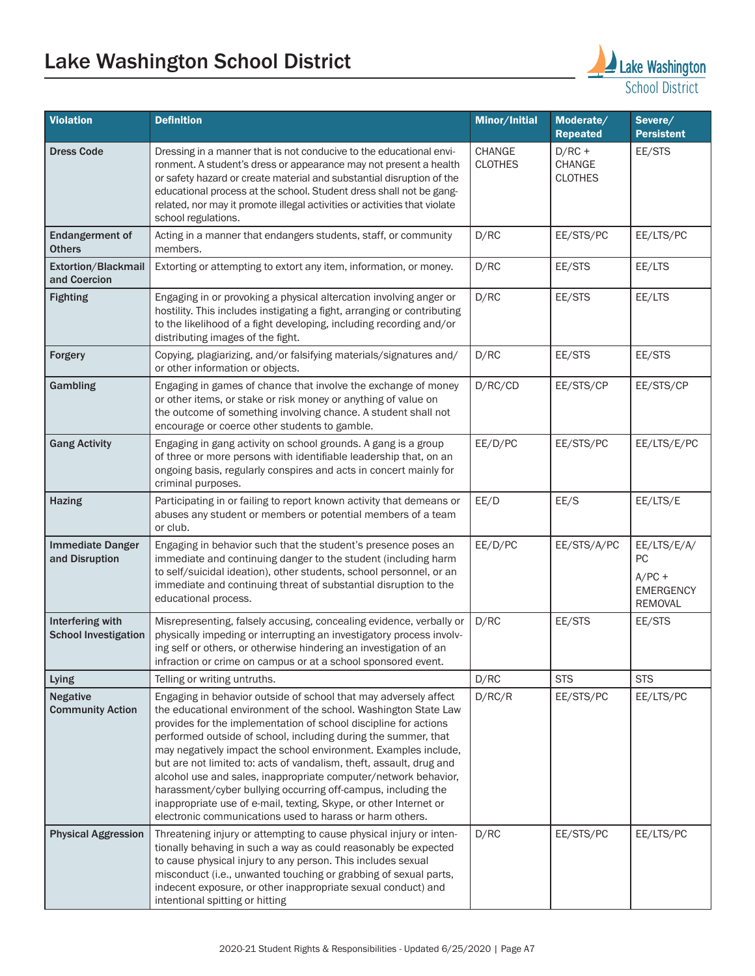# Lake Washington School District **Lake Washington**



| <b>Violation</b>                                | <b>Definition</b>                                                                                                                                                                                                                                                                                                                                                                                                                                                                                                                                                                                                                                                                        | Minor/Initial                   | Moderate/<br><b>Repeated</b>                | Severe/<br><b>Persistent</b>                                        |
|-------------------------------------------------|------------------------------------------------------------------------------------------------------------------------------------------------------------------------------------------------------------------------------------------------------------------------------------------------------------------------------------------------------------------------------------------------------------------------------------------------------------------------------------------------------------------------------------------------------------------------------------------------------------------------------------------------------------------------------------------|---------------------------------|---------------------------------------------|---------------------------------------------------------------------|
| <b>Dress Code</b>                               | Dressing in a manner that is not conducive to the educational envi-<br>ronment. A student's dress or appearance may not present a health<br>or safety hazard or create material and substantial disruption of the<br>educational process at the school. Student dress shall not be gang-<br>related, nor may it promote illegal activities or activities that violate<br>school regulations.                                                                                                                                                                                                                                                                                             | <b>CHANGE</b><br><b>CLOTHES</b> | $D/RC +$<br><b>CHANGE</b><br><b>CLOTHES</b> | EE/STS                                                              |
| <b>Endangerment of</b><br><b>Others</b>         | Acting in a manner that endangers students, staff, or community<br>members.                                                                                                                                                                                                                                                                                                                                                                                                                                                                                                                                                                                                              | D/RC                            | EE/STS/PC                                   | EE/LTS/PC                                                           |
| Extortion/Blackmail<br>and Coercion             | Extorting or attempting to extort any item, information, or money.                                                                                                                                                                                                                                                                                                                                                                                                                                                                                                                                                                                                                       | D/RC                            | EE/STS                                      | EE/LTS                                                              |
| <b>Fighting</b>                                 | Engaging in or provoking a physical altercation involving anger or<br>hostility. This includes instigating a fight, arranging or contributing<br>to the likelihood of a fight developing, including recording and/or<br>distributing images of the fight.                                                                                                                                                                                                                                                                                                                                                                                                                                | D/RC                            | EE/STS                                      | EE/LTS                                                              |
| Forgery                                         | Copying, plagiarizing, and/or falsifying materials/signatures and/<br>or other information or objects.                                                                                                                                                                                                                                                                                                                                                                                                                                                                                                                                                                                   | D/RC                            | EE/STS                                      | EE/STS                                                              |
| Gambling                                        | Engaging in games of chance that involve the exchange of money<br>or other items, or stake or risk money or anything of value on<br>the outcome of something involving chance. A student shall not<br>encourage or coerce other students to gamble.                                                                                                                                                                                                                                                                                                                                                                                                                                      | D/RC/CD                         | EE/STS/CP                                   | EE/STS/CP                                                           |
| <b>Gang Activity</b>                            | Engaging in gang activity on school grounds. A gang is a group<br>of three or more persons with identifiable leadership that, on an<br>ongoing basis, regularly conspires and acts in concert mainly for<br>criminal purposes.                                                                                                                                                                                                                                                                                                                                                                                                                                                           | EE/D/PC                         | EE/STS/PC                                   | EE/LTS/E/PC                                                         |
| <b>Hazing</b>                                   | Participating in or failing to report known activity that demeans or<br>abuses any student or members or potential members of a team<br>or club.                                                                                                                                                                                                                                                                                                                                                                                                                                                                                                                                         | EE/D                            | EE/S                                        | EE/LTS/E                                                            |
| <b>Immediate Danger</b><br>and Disruption       | Engaging in behavior such that the student's presence poses an<br>immediate and continuing danger to the student (including harm<br>to self/suicidal ideation), other students, school personnel, or an<br>immediate and continuing threat of substantial disruption to the<br>educational process.                                                                                                                                                                                                                                                                                                                                                                                      | EE/D/PC                         | EE/STS/A/PC                                 | EE/LTS/E/A/<br>PC<br>$A/PC +$<br><b>EMERGENCY</b><br><b>REMOVAL</b> |
| Interfering with<br><b>School Investigation</b> | Misrepresenting, falsely accusing, concealing evidence, verbally or<br>physically impeding or interrupting an investigatory process involv-<br>ing self or others, or otherwise hindering an investigation of an<br>infraction or crime on campus or at a school sponsored event.                                                                                                                                                                                                                                                                                                                                                                                                        | D/RC                            | EE/STS                                      | EE/STS                                                              |
| Lying                                           | Telling or writing untruths.                                                                                                                                                                                                                                                                                                                                                                                                                                                                                                                                                                                                                                                             | D/RC                            | <b>STS</b>                                  | <b>STS</b>                                                          |
| <b>Negative</b><br><b>Community Action</b>      | Engaging in behavior outside of school that may adversely affect<br>the educational environment of the school. Washington State Law<br>provides for the implementation of school discipline for actions<br>performed outside of school, including during the summer, that<br>may negatively impact the school environment. Examples include,<br>but are not limited to: acts of vandalism, theft, assault, drug and<br>alcohol use and sales, inappropriate computer/network behavior,<br>harassment/cyber bullying occurring off-campus, including the<br>inappropriate use of e-mail, texting, Skype, or other Internet or<br>electronic communications used to harass or harm others. | D/RC/R                          | EE/STS/PC                                   | EE/LTS/PC                                                           |
| <b>Physical Aggression</b>                      | Threatening injury or attempting to cause physical injury or inten-<br>tionally behaving in such a way as could reasonably be expected<br>to cause physical injury to any person. This includes sexual<br>misconduct (i.e., unwanted touching or grabbing of sexual parts,<br>indecent exposure, or other inappropriate sexual conduct) and<br>intentional spitting or hitting                                                                                                                                                                                                                                                                                                           | D/RC                            | EE/STS/PC                                   | EE/LTS/PC                                                           |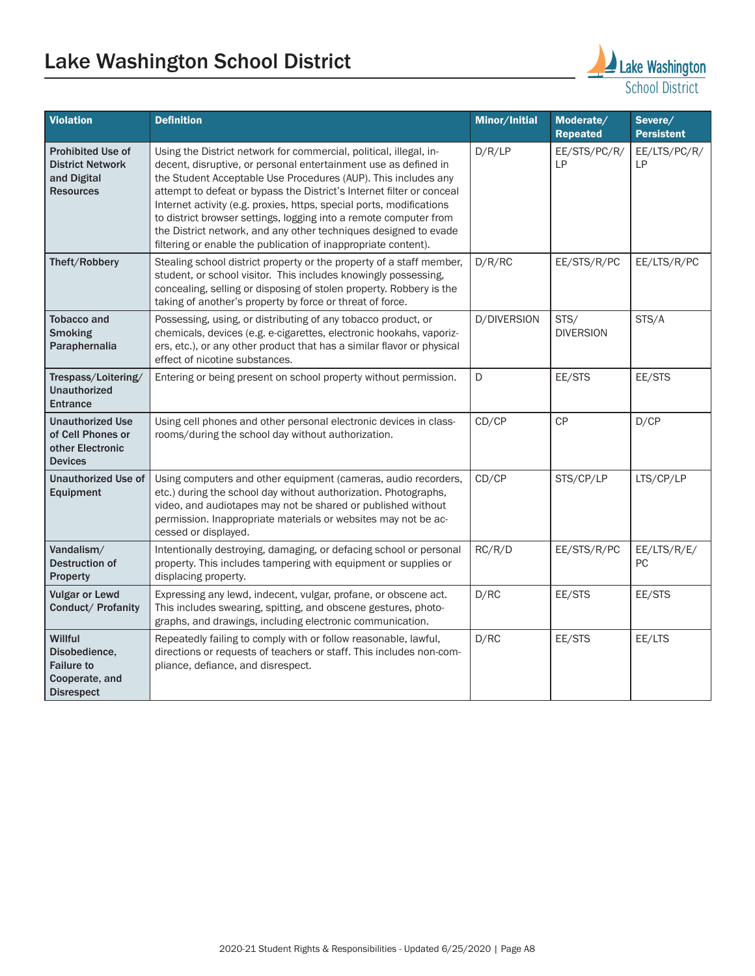# Lake Washington School District Lake Washington



| <b>Violation</b>                                                                       | <b>Definition</b>                                                                                                                                                                                                                                                                                                                                                                                                                                                                                                                                                   | Minor/Initial | Moderate/<br><b>Repeated</b> | Severe/<br><b>Persistent</b> |
|----------------------------------------------------------------------------------------|---------------------------------------------------------------------------------------------------------------------------------------------------------------------------------------------------------------------------------------------------------------------------------------------------------------------------------------------------------------------------------------------------------------------------------------------------------------------------------------------------------------------------------------------------------------------|---------------|------------------------------|------------------------------|
| <b>Prohibited Use of</b><br><b>District Network</b><br>and Digital<br><b>Resources</b> | Using the District network for commercial, political, illegal, in-<br>decent, disruptive, or personal entertainment use as defined in<br>the Student Acceptable Use Procedures (AUP). This includes any<br>attempt to defeat or bypass the District's Internet filter or conceal<br>Internet activity (e.g. proxies, https, special ports, modifications<br>to district browser settings, logging into a remote computer from<br>the District network, and any other techniques designed to evade<br>filtering or enable the publication of inappropriate content). | D/R/LP        | EE/STS/PC/R/<br>LP           | EE/LTS/PC/R/<br>LP           |
| Theft/Robbery                                                                          | Stealing school district property or the property of a staff member,<br>student, or school visitor. This includes knowingly possessing,<br>concealing, selling or disposing of stolen property. Robbery is the<br>taking of another's property by force or threat of force.                                                                                                                                                                                                                                                                                         | D/R/RC        | EE/STS/R/PC                  | EE/LTS/R/PC                  |
| <b>Tobacco and</b><br><b>Smoking</b><br>Paraphernalia                                  | Possessing, using, or distributing of any tobacco product, or<br>chemicals, devices (e.g. e-cigarettes, electronic hookahs, vaporiz-<br>ers, etc.), or any other product that has a similar flavor or physical<br>effect of nicotine substances.                                                                                                                                                                                                                                                                                                                    | D/DIVERSION   | STS/<br><b>DIVERSION</b>     | STS/A                        |
| Trespass/Loitering/<br><b>Unauthorized</b><br><b>Entrance</b>                          | Entering or being present on school property without permission.                                                                                                                                                                                                                                                                                                                                                                                                                                                                                                    | D             | EE/STS                       | EE/STS                       |
| <b>Unauthorized Use</b><br>of Cell Phones or<br>other Electronic<br><b>Devices</b>     | Using cell phones and other personal electronic devices in class-<br>rooms/during the school day without authorization.                                                                                                                                                                                                                                                                                                                                                                                                                                             | CD/CP         | CP                           | D/CP                         |
| <b>Unauthorized Use of</b><br>Equipment                                                | Using computers and other equipment (cameras, audio recorders,<br>etc.) during the school day without authorization. Photographs,<br>video, and audiotapes may not be shared or published without<br>permission. Inappropriate materials or websites may not be ac-<br>cessed or displayed.                                                                                                                                                                                                                                                                         | CD/CP         | STS/CP/LP                    | LTS/CP/LP                    |
| Vandalism/<br>Destruction of<br>Property                                               | Intentionally destroying, damaging, or defacing school or personal<br>property. This includes tampering with equipment or supplies or<br>displacing property.                                                                                                                                                                                                                                                                                                                                                                                                       | RC/R/D        | EE/STS/R/PC                  | EE/LTS/R/E/<br>РC            |
| <b>Vulgar or Lewd</b><br>Conduct/ Profanity                                            | Expressing any lewd, indecent, vulgar, profane, or obscene act.<br>This includes swearing, spitting, and obscene gestures, photo-<br>graphs, and drawings, including electronic communication.                                                                                                                                                                                                                                                                                                                                                                      | D/RC          | EE/STS                       | EE/STS                       |
| Willful<br>Disobedience,<br><b>Failure to</b><br>Cooperate, and<br><b>Disrespect</b>   | Repeatedly failing to comply with or follow reasonable, lawful,<br>directions or requests of teachers or staff. This includes non-com-<br>pliance, defiance, and disrespect.                                                                                                                                                                                                                                                                                                                                                                                        | D/RC          | EE/STS                       | EE/LTS                       |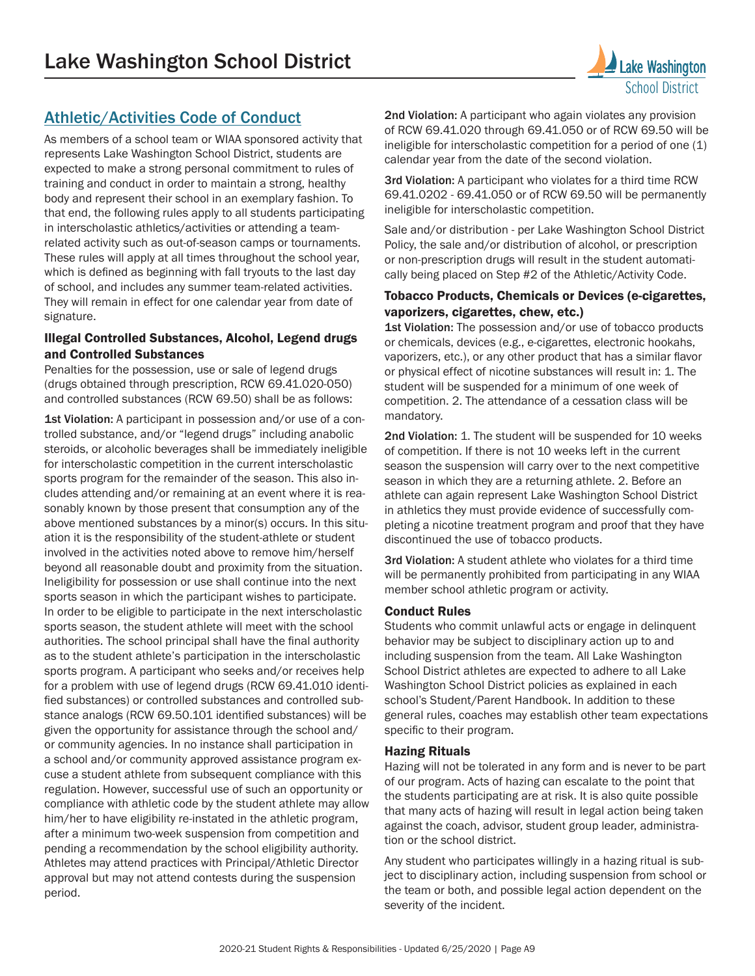# [Athletic/Activities Code of Conduct](http://www.lwsd.org/students-families/athletics/athletic-activities-conduct-code)

As members of a school team or WIAA sponsored activity that represents Lake Washington School District, students are expected to make a strong personal commitment to rules of training and conduct in order to maintain a strong, healthy body and represent their school in an exemplary fashion. To that end, the following rules apply to all students participating in interscholastic athletics/activities or attending a teamrelated activity such as out-of-season camps or tournaments. These rules will apply at all times throughout the school year, which is defined as beginning with fall tryouts to the last day of school, and includes any summer team-related activities. They will remain in effect for one calendar year from date of signature.

#### Illegal Controlled Substances, Alcohol, Legend drugs and Controlled Substances

Penalties for the possession, use or sale of legend drugs (drugs obtained through prescription, RCW 69.41.020-050) and controlled substances (RCW 69.50) shall be as follows:

1st Violation: A participant in possession and/or use of a controlled substance, and/or "legend drugs" including anabolic steroids, or alcoholic beverages shall be immediately ineligible for interscholastic competition in the current interscholastic sports program for the remainder of the season. This also includes attending and/or remaining at an event where it is reasonably known by those present that consumption any of the above mentioned substances by a minor(s) occurs. In this situation it is the responsibility of the student-athlete or student involved in the activities noted above to remove him/herself beyond all reasonable doubt and proximity from the situation. Ineligibility for possession or use shall continue into the next sports season in which the participant wishes to participate. In order to be eligible to participate in the next interscholastic sports season, the student athlete will meet with the school authorities. The school principal shall have the final authority as to the student athlete's participation in the interscholastic sports program. A participant who seeks and/or receives help for a problem with use of legend drugs (RCW 69.41.010 identified substances) or controlled substances and controlled substance analogs (RCW 69.50.101 identified substances) will be given the opportunity for assistance through the school and/ or community agencies. In no instance shall participation in a school and/or community approved assistance program excuse a student athlete from subsequent compliance with this regulation. However, successful use of such an opportunity or compliance with athletic code by the student athlete may allow him/her to have eligibility re-instated in the athletic program, after a minimum two-week suspension from competition and pending a recommendation by the school eligibility authority. Athletes may attend practices with Principal/Athletic Director approval but may not attend contests during the suspension period.

2nd Violation: A participant who again violates any provision of RCW 69.41.020 through 69.41.050 or of RCW 69.50 will be ineligible for interscholastic competition for a period of one (1) calendar year from the date of the second violation.

3rd Violation: A participant who violates for a third time RCW 69.41.0202 - 69.41.050 or of RCW 69.50 will be permanently ineligible for interscholastic competition.

Sale and/or distribution - per Lake Washington School District Policy, the sale and/or distribution of alcohol, or prescription or non-prescription drugs will result in the student automatically being placed on Step #2 of the Athletic/Activity Code.

#### Tobacco Products, Chemicals or Devices (e-cigarettes, vaporizers, cigarettes, chew, etc.)

**1st Violation:** The possession and/or use of tobacco products or chemicals, devices (e.g., e-cigarettes, electronic hookahs, vaporizers, etc.), or any other product that has a similar flavor or physical effect of nicotine substances will result in: 1. The student will be suspended for a minimum of one week of competition. 2. The attendance of a cessation class will be mandatory.

2nd Violation: 1. The student will be suspended for 10 weeks of competition. If there is not 10 weeks left in the current season the suspension will carry over to the next competitive season in which they are a returning athlete. 2. Before an athlete can again represent Lake Washington School District in athletics they must provide evidence of successfully completing a nicotine treatment program and proof that they have discontinued the use of tobacco products.

3rd Violation: A student athlete who violates for a third time will be permanently prohibited from participating in any WIAA member school athletic program or activity.

#### Conduct Rules

Students who commit unlawful acts or engage in delinquent behavior may be subject to disciplinary action up to and including suspension from the team. All Lake Washington School District athletes are expected to adhere to all Lake Washington School District policies as explained in each school's Student/Parent Handbook. In addition to these general rules, coaches may establish other team expectations specific to their program.

#### Hazing Rituals

Hazing will not be tolerated in any form and is never to be part of our program. Acts of hazing can escalate to the point that the students participating are at risk. It is also quite possible that many acts of hazing will result in legal action being taken against the coach, advisor, student group leader, administration or the school district.

Any student who participates willingly in a hazing ritual is subject to disciplinary action, including suspension from school or the team or both, and possible legal action dependent on the severity of the incident.

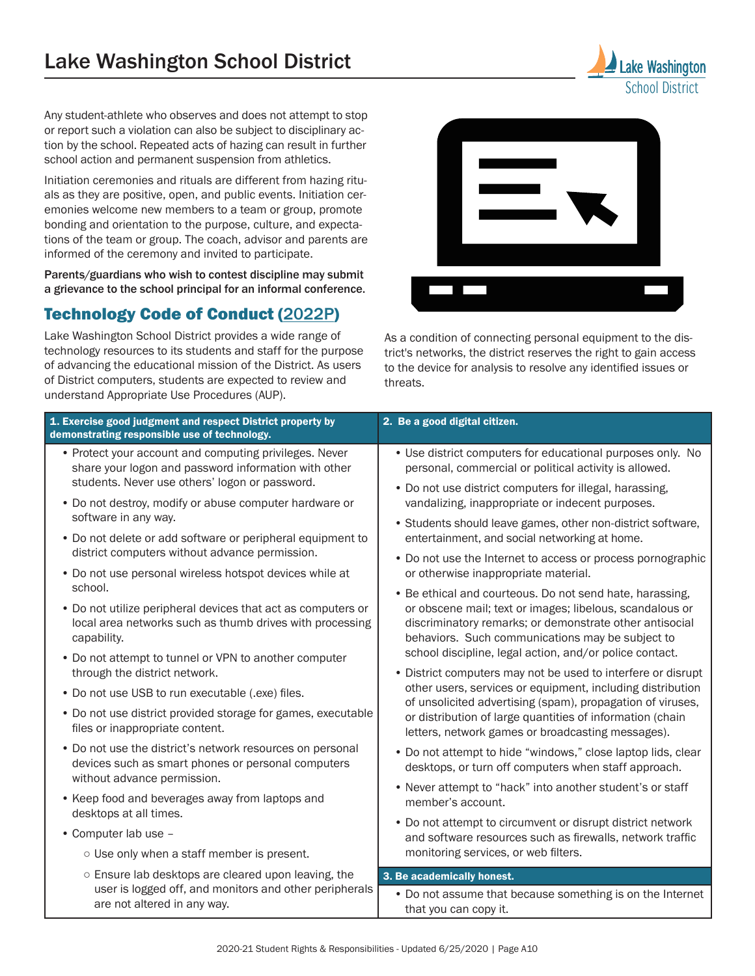Any student-athlete who observes and does not attempt to stop or report such a violation can also be subject to disciplinary action by the school. Repeated acts of hazing can result in further school action and permanent suspension from athletics.

Initiation ceremonies and rituals are different from hazing rituals as they are positive, open, and public events. Initiation ceremonies welcome new members to a team or group, promote bonding and orientation to the purpose, culture, and expectations of the team or group. The coach, advisor and parents are informed of the ceremony and invited to participate.

Parents/guardians who wish to contest discipline may submit a grievance to the school principal for an informal conference.

# Technology Code of Conduct ([2022P](https://www.lwsd.org/about-us/policy-and-regulations/instruction-2000/procedure-electronic-resources-and-internet-safety-2022p))

Lake Washington School District provides a wide range of technology resources to its students and staff for the purpose of advancing the educational mission of the District. As users of District computers, students are expected to review and understand Appropriate Use Procedures (AUP).



School District

As a condition of connecting personal equipment to the district's networks, the district reserves the right to gain access to the device for analysis to resolve any identified issues or threats.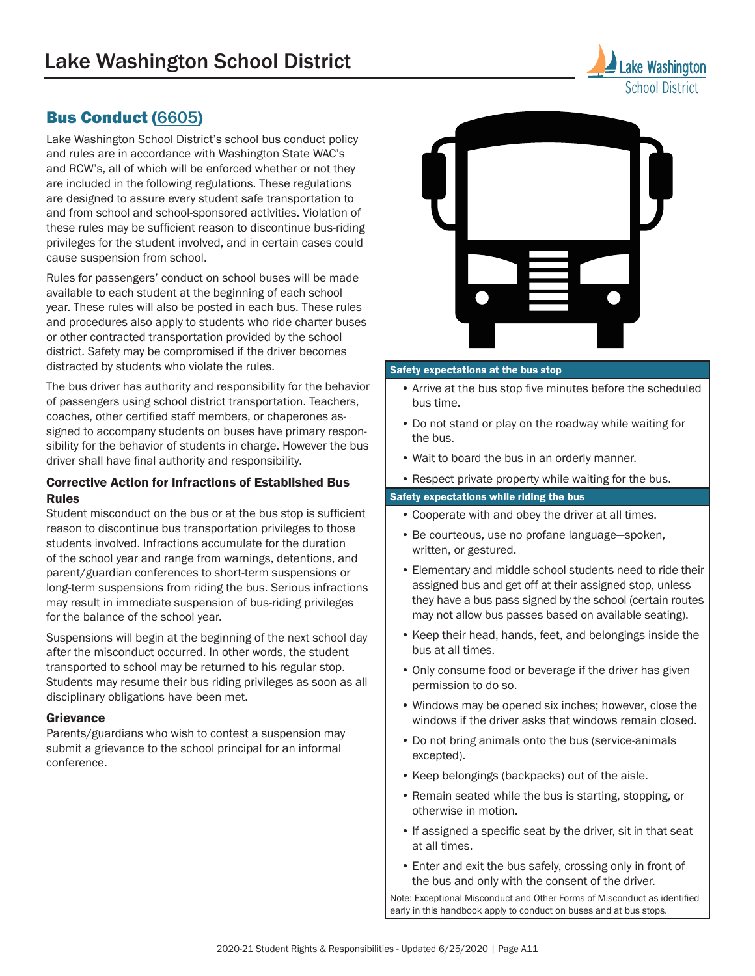# Bus Conduct ([6605](https://www.lwsd.org/about-us/policy-and-regulations/management-6000/student-safety-walking-biking-and-riding-buses-6605))

Lake Washington School District's school bus conduct policy and rules are in accordance with Washington State WAC's and RCW's, all of which will be enforced whether or not they are included in the following regulations. These regulations are designed to assure every student safe transportation to and from school and school-sponsored activities. Violation of these rules may be sufficient reason to discontinue bus-riding privileges for the student involved, and in certain cases could cause suspension from school.

Rules for passengers' conduct on school buses will be made available to each student at the beginning of each school year. These rules will also be posted in each bus. These rules and procedures also apply to students who ride charter buses or other contracted transportation provided by the school district. Safety may be compromised if the driver becomes distracted by students who violate the rules.

The bus driver has authority and responsibility for the behavior of passengers using school district transportation. Teachers, coaches, other certified staff members, or chaperones assigned to accompany students on buses have primary responsibility for the behavior of students in charge. However the bus driver shall have final authority and responsibility.

#### Corrective Action for Infractions of Established Bus Rules

Student misconduct on the bus or at the bus stop is sufficient reason to discontinue bus transportation privileges to those students involved. Infractions accumulate for the duration of the school year and range from warnings, detentions, and parent/guardian conferences to short-term suspensions or long-term suspensions from riding the bus. Serious infractions may result in immediate suspension of bus-riding privileges for the balance of the school year.

Suspensions will begin at the beginning of the next school day after the misconduct occurred. In other words, the student transported to school may be returned to his regular stop. Students may resume their bus riding privileges as soon as all disciplinary obligations have been met.

#### **Grievance**

Parents/guardians who wish to contest a suspension may submit a grievance to the school principal for an informal conference.



#### Safety expectations at the bus stop

- Arrive at the bus stop five minutes before the scheduled bus time.
- Do not stand or play on the roadway while waiting for the bus.
- Wait to board the bus in an orderly manner.
- Respect private property while waiting for the bus.

#### Safety expectations while riding the bus

- Cooperate with and obey the driver at all times.
- Be courteous, use no profane language—spoken, written, or gestured.
- Elementary and middle school students need to ride their assigned bus and get off at their assigned stop, unless they have a bus pass signed by the school (certain routes may not allow bus passes based on available seating).
- Keep their head, hands, feet, and belongings inside the bus at all times.
- Only consume food or beverage if the driver has given permission to do so.
- Windows may be opened six inches; however, close the windows if the driver asks that windows remain closed.
- Do not bring animals onto the bus (service-animals excepted).
- Keep belongings (backpacks) out of the aisle.
- Remain seated while the bus is starting, stopping, or otherwise in motion.
- If assigned a specific seat by the driver, sit in that seat at all times.
- Enter and exit the bus safely, crossing only in front of the bus and only with the consent of the driver.

Note: Exceptional Misconduct and Other Forms of Misconduct as identified early in this handbook apply to conduct on buses and at bus stops.

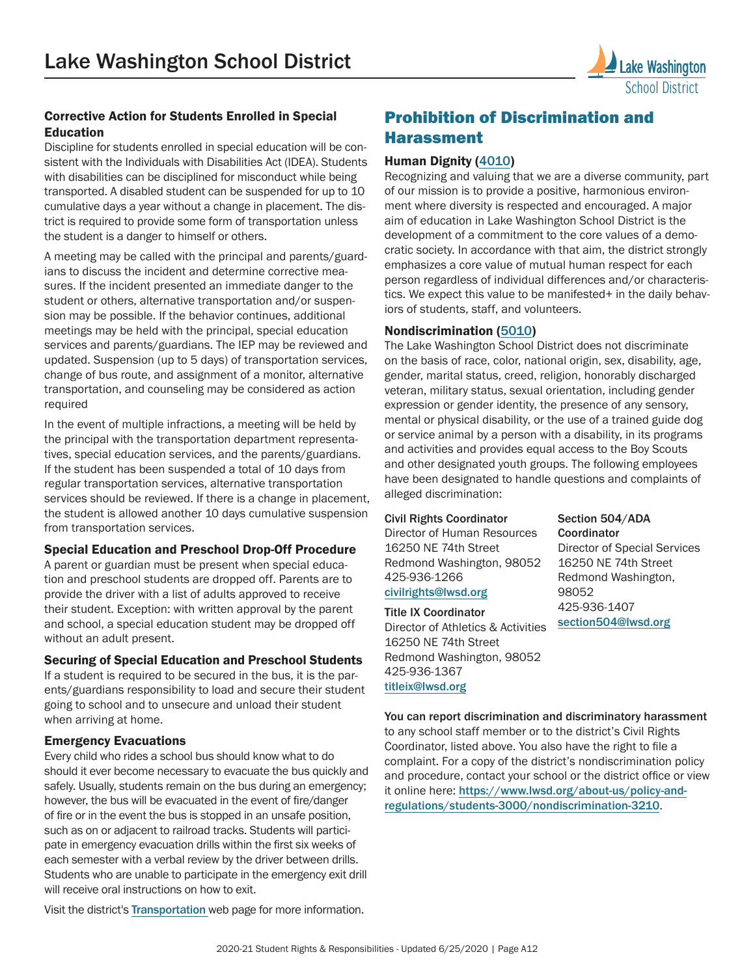

Discipline for students enrolled in special education will be consistent with the Individuals with Disabilities Act (IDEA). Students with disabilities can be disciplined for misconduct while being transported. A disabled student can be suspended for up to 10 cumulative days a year without a change in placement. The district is required to provide some form of transportation unless the student is a danger to himself or others.

A meeting may be called with the principal and parents/guardians to discuss the incident and determine corrective measures. If the incident presented an immediate danger to the student or others, alternative transportation and/or suspension may be possible. If the behavior continues, additional meetings may be held with the principal, special education services and parents/guardians. The IEP may be reviewed and updated. Suspension (up to 5 days) of transportation services, change of bus route, and assignment of a monitor, alternative transportation, and counseling may be considered as action required

In the event of multiple infractions, a meeting will be held by the principal with the transportation department representatives, special education services, and the parents/guardians. If the student has been suspended a total of 10 days from regular transportation services, alternative transportation services should be reviewed. If there is a change in placement, the student is allowed another 10 days cumulative suspension from transportation services.

#### Special Education and Preschool Drop-Off Procedure

A parent or guardian must be present when special education and preschool students are dropped off. Parents are to provide the driver with a list of adults approved to receive their student. Exception: with written approval by the parent and school, a special education student may be dropped off without an adult present.

#### Securing of Special Education and Preschool Students

If a student is required to be secured in the bus, it is the parents/guardians responsibility to load and secure their student going to school and to unsecure and unload their student when arriving at home.

#### Emergency Evacuations

Every child who rides a school bus should know what to do should it ever become necessary to evacuate the bus quickly and safely. Usually, students remain on the bus during an emergency; however, the bus will be evacuated in the event of fire/danger of fire or in the event the bus is stopped in an unsafe position, such as on or adjacent to railroad tracks. Students will participate in emergency evacuation drills within the first six weeks of each semester with a verbal review by the driver between drills. Students who are unable to participate in the emergency exit drill will receive oral instructions on how to exit.

Visit the district's [Transportation](http://www.lwsd.org/programs-and-services/transportation) web page for more information.

# Prohibition of Discrimination and Harassment

#### Human Dignity ([4010](https://www.lwsd.org/about-us/policy-and-regulations/community-relations-4000/human-dignity-4010))

Recognizing and valuing that we are a diverse community, part of our mission is to provide a positive, harmonious environment where diversity is respected and encouraged. A major aim of education in Lake Washington School District is the development of a commitment to the core values of a democratic society. In accordance with that aim, the district strongly emphasizes a core value of mutual human respect for each person regardless of individual differences and/or characteristics. We expect this value to be manifested+ in the daily behaviors of students, staff, and volunteers.

#### Nondiscrimination ([5010](https://www.lwsd.org/about-us/policy-and-regulations/personnel-5000/nondiscrimination-and-affirmative-action-5010))

The Lake Washington School District does not discriminate on the basis of race, color, national origin, sex, disability, age, gender, marital status, creed, religion, honorably discharged veteran, military status, sexual orientation, including gender expression or gender identity, the presence of any sensory, mental or physical disability, or the use of a trained guide dog or service animal by a person with a disability, in its programs and activities and provides equal access to the Boy Scouts and other designated youth groups. The following employees have been designated to handle questions and complaints of alleged discrimination:

#### Civil Rights Coordinator

Director of Human Resources 16250 NE 74th Street Redmond Washington, 98052 425-936-1266 [civilrights@lwsd.org](mailto:civilrights%40lwsd.org?subject=)

#### Title IX Coordinator

Director of Athletics & Activities 16250 NE 74th Street Redmond Washington, 98052 425-936-1367 [titleix@lwsd.org](mailto:titleix%40lwsd.org?subject=)

You can report discrimination and discriminatory harassment to any school staff member or to the district's Civil Rights Coordinator, listed above. You also have the right to file a complaint. For a copy of the district's nondiscrimination policy and procedure, contact your school or the district office or view it online here: [https://www.lwsd.org/about-us/policy-and](https://www.lwsd.org/about-us/policy-and-regulations/students-3000/nondiscrimination-3210)[regulations/students-3000/nondiscrimination-3210](https://www.lwsd.org/about-us/policy-and-regulations/students-3000/nondiscrimination-3210).

Section 504/ADA **Coordinator** Director of Special Services 16250 NE 74th Street Redmond Washington, 98052 425-936-1407 [section504@lwsd.org](mailto:section504%40lwsd.org?subject=)

School District

2020-21 Student Rights & Responsibilities - Updated 6/25/2020 | Page A12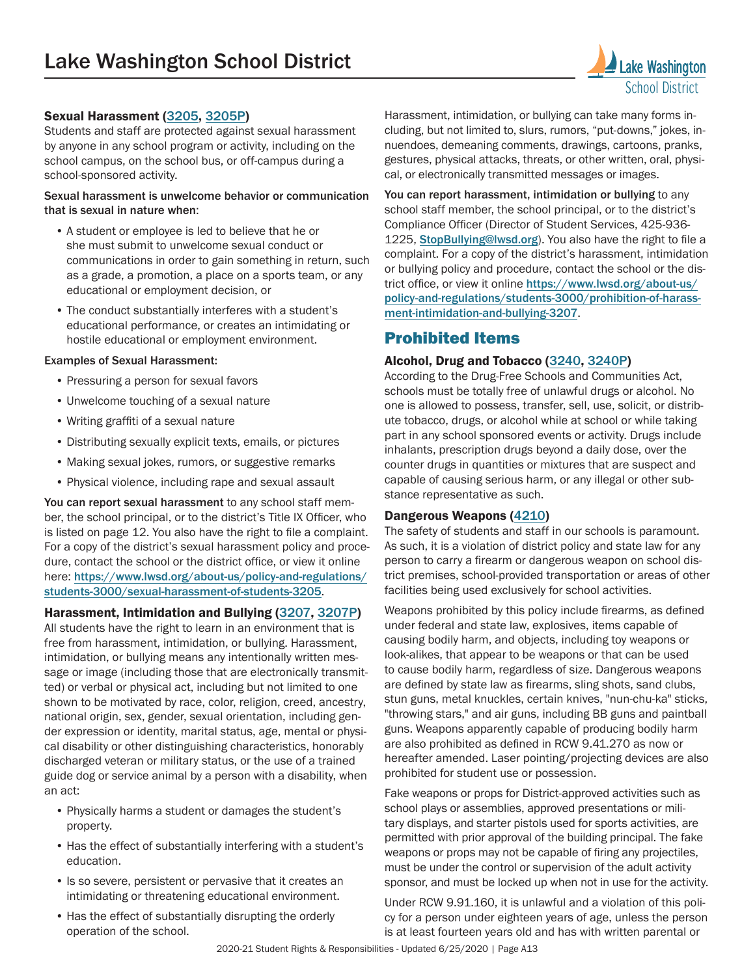

Students and staff are protected against sexual harassment by anyone in any school program or activity, including on the school campus, on the school bus, or off-campus during a school-sponsored activity.

#### Sexual harassment is unwelcome behavior or communication that is sexual in nature when:

- A student or employee is led to believe that he or she must submit to unwelcome sexual conduct or communications in order to gain something in return, such as a grade, a promotion, a place on a sports team, or any educational or employment decision, or
- The conduct substantially interferes with a student's educational performance, or creates an intimidating or hostile educational or employment environment.

#### Examples of Sexual Harassment:

- Pressuring a person for sexual favors
- Unwelcome touching of a sexual nature
- Writing graffiti of a sexual nature
- Distributing sexually explicit texts, emails, or pictures
- Making sexual jokes, rumors, or suggestive remarks
- Physical violence, including rape and sexual assault

You can report sexual harassment to any school staff member, the school principal, or to the district's Title IX Officer, who is listed on page 12. You also have the right to file a complaint. For a copy of the district's sexual harassment policy and procedure, contact the school or the district office, or view it online here: [https://www.lwsd.org/about-us/policy-and-regulations/](https://www.lwsd.org/about-us/policy-and-regulations/students-3000/sexual-harassment-of-students-3205) [students-3000/sexual-harassment-of-students-3205](https://www.lwsd.org/about-us/policy-and-regulations/students-3000/sexual-harassment-of-students-3205).

#### Harassment, Intimidation and Bullying ([3207](https://www.lwsd.org/about-us/policy-and-regulations/students-3000/prohibition-of-harassment-intimidation-and-bullying-3207), [3207P](https://www.lwsd.org/about-us/policy-and-regulations/students-3000/procedure-for-prohibition-of-harassment-intimidation-and-bullying-3207p))

All students have the right to learn in an environment that is free from harassment, intimidation, or bullying. Harassment, intimidation, or bullying means any intentionally written message or image (including those that are electronically transmitted) or verbal or physical act, including but not limited to one shown to be motivated by race, color, religion, creed, ancestry, national origin, sex, gender, sexual orientation, including gender expression or identity, marital status, age, mental or physical disability or other distinguishing characteristics, honorably discharged veteran or military status, or the use of a trained guide dog or service animal by a person with a disability, when an act:

- Physically harms a student or damages the student's property.
- Has the effect of substantially interfering with a student's education.
- Is so severe, persistent or pervasive that it creates an intimidating or threatening educational environment.
- Has the effect of substantially disrupting the orderly operation of the school.

Harassment, intimidation, or bullying can take many forms including, but not limited to, slurs, rumors, "put-downs," jokes, innuendoes, demeaning comments, drawings, cartoons, pranks, gestures, physical attacks, threats, or other written, oral, physical, or electronically transmitted messages or images.

You can report harassment, intimidation or bullying to any school staff member, the school principal, or to the district's Compliance Officer (Director of Student Services, 425-936- 1225, [StopBullying@lwsd.org](mailto:StopBullying%40lwsd.org?subject=)). You also have the right to file a complaint. For a copy of the district's harassment, intimidation or bullying policy and procedure, contact the school or the district office, or view it online [https://www.lwsd.org/about-us/](https://www.lwsd.org/about-us/policy-and-regulations/students-3000/prohibition-of-harassment-intimidation-and-bullying-3207) [policy-and-regulations/students-3000/prohibition-of-harass](https://www.lwsd.org/about-us/policy-and-regulations/students-3000/prohibition-of-harassment-intimidation-and-bullying-3207)[ment-intimidation-and-bullying-3207](https://www.lwsd.org/about-us/policy-and-regulations/students-3000/prohibition-of-harassment-intimidation-and-bullying-3207).

#### Prohibited Items

#### Alcohol, Drug and Tobacco ([3240](https://www.lwsd.org/about-us/policy-and-regulations/students-3000/student-conduct-expectations-and-reasonable-sanctions-3240), [3240P](https://www.lwsd.org/about-us/policy-and-regulations/students-3000/procedure-student-conduct-expectations-and-reasonable-sanctions-3240p))

According to the Drug-Free Schools and Communities Act, schools must be totally free of unlawful drugs or alcohol. No one is allowed to possess, transfer, sell, use, solicit, or distribute tobacco, drugs, or alcohol while at school or while taking part in any school sponsored events or activity. Drugs include inhalants, prescription drugs beyond a daily dose, over the counter drugs in quantities or mixtures that are suspect and capable of causing serious harm, or any illegal or other substance representative as such.

#### Dangerous Weapons ([4210](https://www.lwsd.org/about-us/policy-and-regulations/community-relations-4000/regulation-of-dangerous-weapons-on-school-premises-4210))

The safety of students and staff in our schools is paramount. As such, it is a violation of district policy and state law for any person to carry a firearm or dangerous weapon on school district premises, school-provided transportation or areas of other facilities being used exclusively for school activities.

Weapons prohibited by this policy include firearms, as defined under federal and state law, explosives, items capable of causing bodily harm, and objects, including toy weapons or look-alikes, that appear to be weapons or that can be used to cause bodily harm, regardless of size. Dangerous weapons are defined by state law as firearms, sling shots, sand clubs, stun guns, metal knuckles, certain knives, "nun-chu-ka" sticks, "throwing stars," and air guns, including BB guns and paintball guns. Weapons apparently capable of producing bodily harm are also prohibited as defined in RCW 9.41.270 as now or hereafter amended. Laser pointing/projecting devices are also prohibited for student use or possession.

Fake weapons or props for District-approved activities such as school plays or assemblies, approved presentations or military displays, and starter pistols used for sports activities, are permitted with prior approval of the building principal. The fake weapons or props may not be capable of firing any projectiles, must be under the control or supervision of the adult activity sponsor, and must be locked up when not in use for the activity.

Under RCW 9.91.160, it is unlawful and a violation of this policy for a person under eighteen years of age, unless the person is at least fourteen years old and has with written parental or